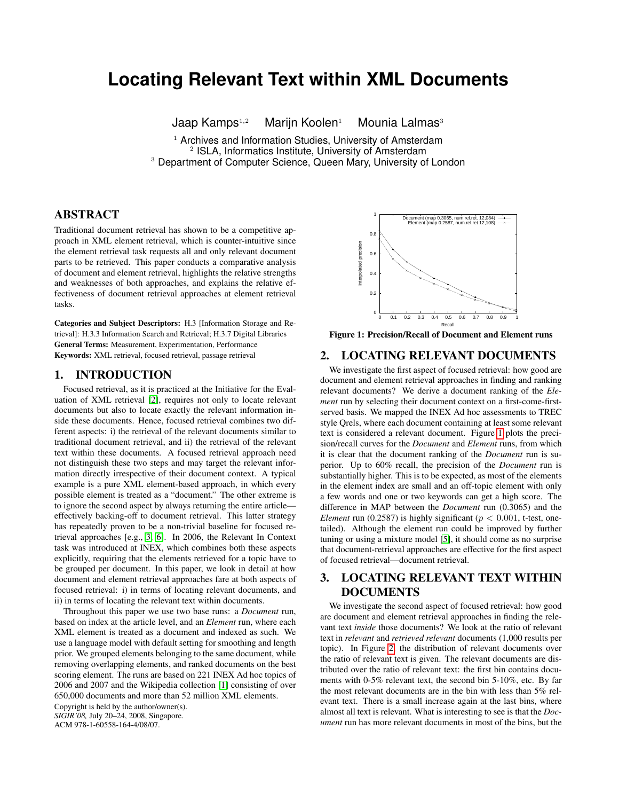# **Locating Relevant Text within XML Documents**

Jaap Kamps $1,2$  Marijn Koolen<sup>1</sup> Mounia Lalmas<sup>3</sup>

<sup>1</sup> Archives and Information Studies, University of Amsterdam <sup>2</sup> ISLA, Informatics Institute, University of Amsterdam <sup>3</sup> Department of Computer Science, Queen Mary, University of London

## ABSTRACT

Traditional document retrieval has shown to be a competitive approach in XML element retrieval, which is counter-intuitive since the element retrieval task requests all and only relevant document parts to be retrieved. This paper conducts a comparative analysis of document and element retrieval, highlights the relative strengths and weaknesses of both approaches, and explains the relative effectiveness of document retrieval approaches at element retrieval tasks.

Categories and Subject Descriptors: H.3 [Information Storage and Retrieval]: H.3.3 Information Search and Retrieval; H.3.7 Digital Libraries General Terms: Measurement, Experimentation, Performance Keywords: XML retrieval, focused retrieval, passage retrieval

#### 1. INTRODUCTION

Focused retrieval, as it is practiced at the Initiative for the Evaluation of XML retrieval [\[2\]](#page-1-0), requires not only to locate relevant documents but also to locate exactly the relevant information inside these documents. Hence, focused retrieval combines two different aspects: i) the retrieval of the relevant documents similar to traditional document retrieval, and ii) the retrieval of the relevant text within these documents. A focused retrieval approach need not distinguish these two steps and may target the relevant information directly irrespective of their document context. A typical example is a pure XML element-based approach, in which every possible element is treated as a "document." The other extreme is to ignore the second aspect by always returning the entire article effectively backing-off to document retrieval. This latter strategy has repeatedly proven to be a non-trivial baseline for focused retrieval approaches [e.g., [3,](#page-1-1) [6\]](#page-1-2). In 2006, the Relevant In Context task was introduced at INEX, which combines both these aspects explicitly, requiring that the elements retrieved for a topic have to be grouped per document. In this paper, we look in detail at how document and element retrieval approaches fare at both aspects of focused retrieval: i) in terms of locating relevant documents, and ii) in terms of locating the relevant text within documents.

Throughout this paper we use two base runs: a *Document* run, based on index at the article level, and an *Element* run, where each XML element is treated as a document and indexed as such. We use a language model with default setting for smoothing and length prior. We grouped elements belonging to the same document, while removing overlapping elements, and ranked documents on the best scoring element. The runs are based on 221 INEX Ad hoc topics of 2006 and 2007 and the Wikipedia collection [\[1\]](#page-1-3) consisting of over 650,000 documents and more than 52 million XML elements.

Copyright is held by the author/owner(s). *SIGIR'08,* July 20–24, 2008, Singapore. ACM 978-1-60558-164-4/08/07.



<span id="page-0-0"></span>Figure 1: Precision/Recall of Document and Element runs

## 2. LOCATING RELEVANT DOCUMENTS

We investigate the first aspect of focused retrieval: how good are document and element retrieval approaches in finding and ranking relevant documents? We derive a document ranking of the *Element* run by selecting their document context on a first-come-firstserved basis. We mapped the INEX Ad hoc assessments to TREC style Qrels, where each document containing at least some relevant text is considered a relevant document. Figure [1](#page-0-0) plots the precision/recall curves for the *Document* and *Element* runs, from which it is clear that the document ranking of the *Document* run is superior. Up to 60% recall, the precision of the *Document* run is substantially higher. This is to be expected, as most of the elements in the element index are small and an off-topic element with only a few words and one or two keywords can get a high score. The difference in MAP between the *Document* run (0.3065) and the *Element* run (0.2587) is highly significant ( $p < 0.001$ , t-test, onetailed). Although the element run could be improved by further tuning or using a mixture model [\[5\]](#page-1-4), it should come as no surprise that document-retrieval approaches are effective for the first aspect of focused retrieval—document retrieval.

## 3. LOCATING RELEVANT TEXT WITHIN DOCUMENTS

We investigate the second aspect of focused retrieval: how good are document and element retrieval approaches in finding the relevant text *inside* those documents? We look at the ratio of relevant text in *relevant* and *retrieved relevant* documents (1,000 results per topic). In Figure [2,](#page-1-5) the distribution of relevant documents over the ratio of relevant text is given. The relevant documents are distributed over the ratio of relevant text: the first bin contains documents with 0-5% relevant text, the second bin 5-10%, etc. By far the most relevant documents are in the bin with less than 5% relevant text. There is a small increase again at the last bins, where almost all text is relevant. What is interesting to see is that the *Document* run has more relevant documents in most of the bins, but the